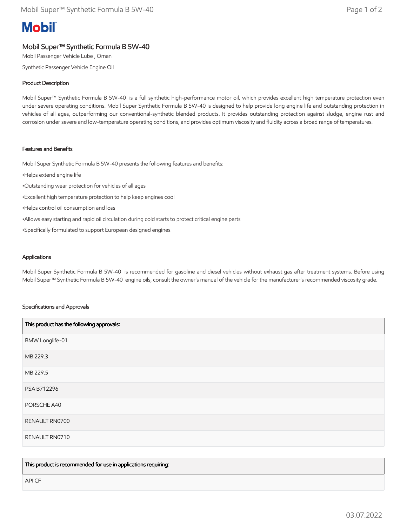# **Mobil**

## Mobil Super™ Synthetic Formula B 5W-40

Mobil Passenger Vehicle Lube , Oman

Synthetic Passenger Vehicle Engine Oil

### Product Description

Mobil Super™ Synthetic Formula B 5W-40 is a full synthetic high-performance motor oil, which provides excellent high temperature protection even under severe operating conditions. Mobil Super Synthetic Formula B 5W-40 is designed to help provide long engine life and outstanding protection in vehicles of all ages, outperforming our conventional-synthetic blended products. It provides outstanding protection against sludge, engine rust and corrosion under severe and low-temperature operating conditions, and provides optimum viscosity and fluidity across a broad range of temperatures.

#### Features and Benefits

Mobil Super Synthetic Formula B 5W-40 presents the following features and benefits:

- •Helps extend engine life
- •Outstanding wear protection for vehicles of all ages
- •Excellent high temperature protection to help keep engines cool
- •Helps control oil consumption and loss
- •Allows easy starting and rapid oil circulation during cold starts to protect critical engine parts
- •Specifically formulated to support European designed engines

#### **Applications**

Mobil Super Synthetic Formula B 5W-40 is recommended for gasoline and diesel vehicles without exhaust gas after treatment systems. Before using Mobil Super™ Synthetic Formula B 5W-40 engine oils, consult the owner's manual of the vehicle for the manufacturer's recommended viscosity grade.

#### Specifications and Approvals

| This product has the following approvals: |  |
|-------------------------------------------|--|
| BMW Longlife-01                           |  |
| MB 229.3                                  |  |
| MB 229.5                                  |  |
| PSA B712296                               |  |
| PORSCHE A40                               |  |
| RENAULT RN0700                            |  |
| RENAULT RN0710                            |  |

This product is recommended for use in applications requiring:

API CF